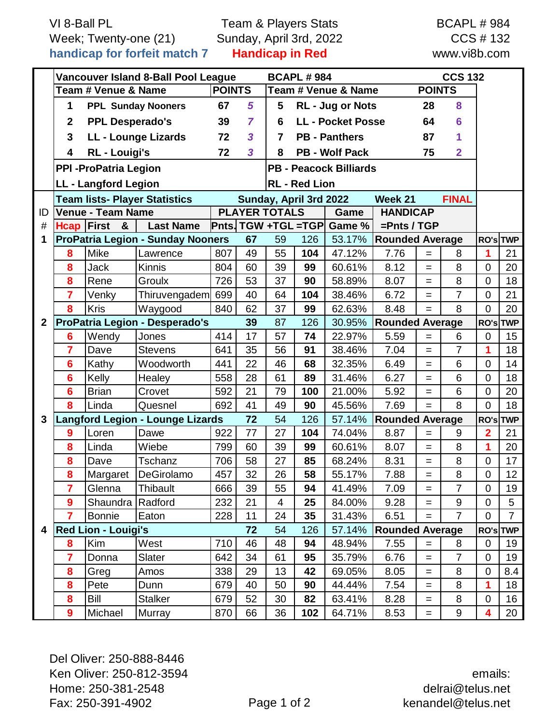VI 8-Ball PL Week; Twenty-one (21) **handicap for forfeit match 7**

Team & Players Stats Sunday, April 3rd, 2022 **Handicap in Red**

BCAPL # 984 CCS # 132 www.vi8b.com

|              | Vancouver Island 8-Ball Pool League      |                             |                                         |                                      | <b>BCAPL #984</b>               |                                                    |     |                            |                        |                        | <b>CCS 132</b>   |                |                |
|--------------|------------------------------------------|-----------------------------|-----------------------------------------|--------------------------------------|---------------------------------|----------------------------------------------------|-----|----------------------------|------------------------|------------------------|------------------|----------------|----------------|
|              | Team # Venue & Name                      |                             |                                         | <b>POINTS</b><br>Team # Venue & Name |                                 |                                                    |     |                            |                        | <b>POINTS</b>          |                  |                |                |
|              | 1<br><b>PPL Sunday Nooners</b>           |                             |                                         | 67                                   | 5                               | RL - Jug or Nots<br>5<br>28                        |     |                            |                        |                        | 8                |                |                |
|              | $\mathbf{2}$<br><b>PPL Desperado's</b>   |                             |                                         | 39                                   | $\overline{7}$                  | <b>LL - Pocket Posse</b><br>64<br>6                |     |                            |                        |                        | 6                |                |                |
|              | 3<br>LL - Lounge Lizards                 |                             | 72                                      | $\overline{\mathbf{3}}$              | <b>PB - Panthers</b><br>87<br>7 |                                                    |     |                            |                        | 1                      |                  |                |                |
|              | 4<br><b>RL</b> - Louigi's                |                             |                                         | 72                                   | 3                               | <b>PB - Wolf Pack</b><br>75<br>$\overline{2}$<br>8 |     |                            |                        |                        |                  |                |                |
|              | <b>PPI - ProPatria Legion</b>            |                             |                                         |                                      |                                 | <b>PB - Peacock Billiards</b>                      |     |                            |                        |                        |                  |                |                |
|              |                                          | <b>LL - Langford Legion</b> | <b>RL - Red Lion</b>                    |                                      |                                 |                                                    |     |                            |                        |                        |                  |                |                |
|              | <b>Team lists- Player Statistics</b>     |                             |                                         |                                      |                                 | Sunday, April 3rd 2022                             |     |                            | Week 21                |                        | <b>FINAL</b>     |                |                |
| ID           | <b>Venue - Team Name</b>                 |                             |                                         |                                      |                                 | <b>PLAYER TOTALS</b>                               |     | Game                       | <b>HANDICAP</b>        |                        |                  |                |                |
| #            | <b>Hcap First</b>                        | &                           | <b>Last Name</b>                        |                                      |                                 |                                                    |     | Pnts. TGW +TGL =TGP Game % | $=$ Pnts / TGP         |                        |                  |                |                |
| 1            | <b>ProPatria Legion - Sunday Nooners</b> |                             |                                         |                                      | 67                              | 59<br>126<br>53.17%                                |     |                            |                        | <b>Rounded Average</b> |                  |                | RO's TWP       |
|              | 8                                        | <b>Mike</b>                 | Lawrence                                | 807                                  | 49                              | 55                                                 | 104 | 47.12%                     | 7.76                   | $=$                    | 8                | 1              | 21             |
|              | 8                                        | <b>Jack</b>                 | <b>Kinnis</b>                           | 804                                  | 60                              | 39                                                 | 99  | 60.61%                     | 8.12                   | $=$                    | 8                | $\Omega$       | 20             |
|              | 8                                        | Rene                        | Groulx                                  | 726                                  | 53                              | 37                                                 | 90  | 58.89%                     | 8.07                   | $=$                    | 8                | $\overline{0}$ | 18             |
|              | $\overline{7}$                           | Venky                       | Thiruvengadem                           | 699                                  | 40                              | 64                                                 | 104 | 38.46%                     | 6.72                   | $=$                    | $\overline{7}$   | $\Omega$       | 21             |
|              | 8                                        | <b>Kris</b>                 | Waygood                                 | 840                                  | 62                              | 37                                                 | 99  | 62.63%                     | 8.48                   | $=$                    | 8                | $\Omega$       | 20             |
| $\mathbf{2}$ | <b>ProPatria Legion - Desperado's</b>    |                             |                                         |                                      | 39                              | 87                                                 | 126 | 30.95%                     | <b>Rounded Average</b> |                        |                  | RO's TWP       |                |
|              | $6\phantom{1}6$                          | Wendy                       | Jones                                   | 414                                  | 17                              | 57                                                 | 74  | 22.97%                     | 5.59                   | $=$                    | 6                | 0              | 15             |
|              | $\overline{7}$                           | Dave                        | <b>Stevens</b>                          | 641                                  | 35                              | 56                                                 | 91  | 38.46%                     | 7.04                   | $=$                    | $\overline{7}$   | 1              | 18             |
|              | $6\phantom{1}6$                          | Kathy                       | Woodworth                               | 441                                  | 22                              | 46                                                 | 68  | 32.35%                     | 6.49                   | $=$                    | 6                | $\overline{0}$ | 14             |
|              | $6\phantom{1}6$                          | Kelly                       | Healey                                  | 558                                  | 28                              | 61                                                 | 89  | 31.46%                     | 6.27                   | $=$                    | 6                | $\overline{0}$ | 18             |
|              | $6\phantom{1}6$                          | <b>Brian</b>                | Crovet                                  | 592                                  | 21                              | 79                                                 | 100 | 21.00%                     | 5.92                   | Ξ                      | 6                | $\overline{0}$ | 20             |
|              | 8                                        | Linda                       | Quesnel                                 | 692                                  | 41                              | 49                                                 | 90  | 45.56%                     | 7.69                   | $=$                    | 8                | $\overline{0}$ | 18             |
| 3            |                                          |                             | <b>Langford Legion - Lounge Lizards</b> |                                      | 72                              | 54                                                 | 126 | 57.14%                     |                        | <b>Rounded Average</b> |                  |                | RO's TWP       |
|              | 9                                        | Loren                       | Dawe                                    | 922                                  | 77                              | 27                                                 | 104 | 74.04%                     | 8.87                   | $=$                    | 9                | $\overline{2}$ | 21             |
|              | 8                                        | Linda                       | Wiebe                                   | 799                                  | 60                              | 39                                                 | 99  | 60.61%                     | 8.07                   | $=$                    | 8                | 1              | 20             |
|              | 8                                        | Dave                        | Tschanz                                 | 706                                  | 58                              | 27                                                 | 85  | 68.24%                     | 8.31                   | $=$                    | 8                | $\overline{0}$ | 17             |
|              | 8                                        |                             | Margaret DeGirolamo                     | 457                                  | 32                              | 26                                                 | 58  | 55.17%                     | 7.88                   |                        | 8                | $\pmb{0}$      | 12             |
|              | 7                                        | Glenna                      | Thibault                                | 666                                  | 39                              | 55                                                 | 94  | 41.49%                     | 7.09                   | $=$                    | $\overline{7}$   | $\overline{0}$ | 19             |
|              | $\boldsymbol{9}$                         | Shaundra Radford            |                                         | 232                                  | 21                              | 4                                                  | 25  | 84.00%                     | 9.28                   | Ξ                      | $\boldsymbol{9}$ | $\overline{0}$ | 5              |
|              | $\overline{7}$                           | Bonnie                      | Eaton                                   | 228                                  | 11                              | 24                                                 | 35  | 31.43%                     | 6.51                   | $=$                    | $\overline{7}$   | $\mathbf 0$    | $\overline{7}$ |
| 4            |                                          | <b>Red Lion - Louigi's</b>  |                                         |                                      | 72                              | 54                                                 | 126 | 57.14%                     | <b>Rounded Average</b> |                        |                  | RO's TWP       |                |
|              | 8                                        | Kim                         | West                                    | 710                                  | 46                              | 48                                                 | 94  | 48.94%                     | 7.55                   | $=$                    | 8                | 0              | 19             |
|              | $\overline{7}$                           | Donna                       | Slater                                  | 642                                  | 34                              | 61                                                 | 95  | 35.79%                     | 6.76                   | =                      | $\overline{7}$   | $\overline{0}$ | 19             |
|              | 8                                        | Greg                        | Amos                                    | 338                                  | 29                              | 13                                                 | 42  | 69.05%                     | 8.05                   | $=$                    | 8                | 0              | 8.4            |
|              | 8                                        | Pete                        | Dunn                                    | 679                                  | 40                              | 50                                                 | 90  | 44.44%                     | 7.54                   | =                      | 8                | 1              | 18             |
|              | 8                                        | Bill                        | Stalker                                 | 679                                  | 52                              | 30                                                 | 82  | 63.41%                     | 8.28                   | $=$                    | 8                | 0              | 16             |
|              | 9                                        | Michael                     | <b>Murray</b>                           | 870                                  | 66                              | 36                                                 | 102 | 64.71%                     | 8.53                   | $\quad =$              | 9                | 4              | 20             |

Del Oliver: 250-888-8446 Ken Oliver: 250-812-3594 Home: 250-381-2548 Fax: 250-391-4902 Page 1 of 2

emails: delrai@telus.net kenandel@telus.net